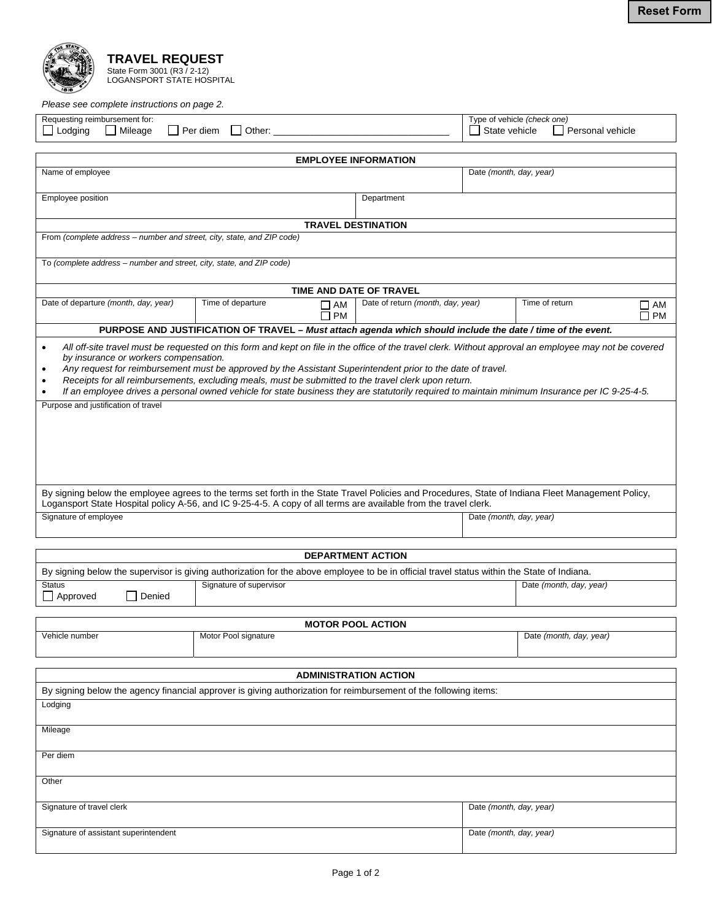

*Please see complete instructions on page 2.* 

| Please see complete instructions on page 2.                                                                                                                                                                                                                                                                    |                                                                                                             |                                   |                                                                      |  |
|----------------------------------------------------------------------------------------------------------------------------------------------------------------------------------------------------------------------------------------------------------------------------------------------------------------|-------------------------------------------------------------------------------------------------------------|-----------------------------------|----------------------------------------------------------------------|--|
| Requesting reimbursement for:<br>$\Box$ Lodging<br>l Per diem<br>  Mileage<br>Other:                                                                                                                                                                                                                           |                                                                                                             |                                   | Type of vehicle (check one)<br>  State vehicle<br>I Personal vehicle |  |
|                                                                                                                                                                                                                                                                                                                |                                                                                                             |                                   |                                                                      |  |
| <b>EMPLOYEE INFORMATION</b>                                                                                                                                                                                                                                                                                    |                                                                                                             |                                   |                                                                      |  |
| Name of employee                                                                                                                                                                                                                                                                                               |                                                                                                             |                                   | Date (month, day, year)                                              |  |
|                                                                                                                                                                                                                                                                                                                |                                                                                                             |                                   |                                                                      |  |
| Employee position                                                                                                                                                                                                                                                                                              |                                                                                                             | Department                        |                                                                      |  |
|                                                                                                                                                                                                                                                                                                                |                                                                                                             |                                   |                                                                      |  |
| <b>TRAVEL DESTINATION</b>                                                                                                                                                                                                                                                                                      |                                                                                                             |                                   |                                                                      |  |
| From (complete address - number and street, city, state, and ZIP code)                                                                                                                                                                                                                                         |                                                                                                             |                                   |                                                                      |  |
| To (complete address - number and street, city, state, and ZIP code)                                                                                                                                                                                                                                           |                                                                                                             |                                   |                                                                      |  |
| TIME AND DATE OF TRAVEL                                                                                                                                                                                                                                                                                        |                                                                                                             |                                   |                                                                      |  |
| Date of departure (month, day, year)                                                                                                                                                                                                                                                                           | Time of departure<br>$\Box$ AM                                                                              | Date of return (month, day, year) | Time of return<br>∐ AM                                               |  |
|                                                                                                                                                                                                                                                                                                                | $\Box$ PM                                                                                                   |                                   | $\Box$ PM                                                            |  |
|                                                                                                                                                                                                                                                                                                                | PURPOSE AND JUSTIFICATION OF TRAVEL - Must attach agenda which should include the date / time of the event. |                                   |                                                                      |  |
| All off-site travel must be requested on this form and kept on file in the office of the travel clerk. Without approval an employee may not be covered<br>by insurance or workers compensation.<br>Any request for reimbursement must be approved by the Assistant Superintendent prior to the date of travel. |                                                                                                             |                                   |                                                                      |  |
| Receipts for all reimbursements, excluding meals, must be submitted to the travel clerk upon return.                                                                                                                                                                                                           |                                                                                                             |                                   |                                                                      |  |
| If an employee drives a personal owned vehicle for state business they are statutorily required to maintain minimum Insurance per IC 9-25-4-5.<br>$\bullet$                                                                                                                                                    |                                                                                                             |                                   |                                                                      |  |
| Purpose and justification of travel                                                                                                                                                                                                                                                                            |                                                                                                             |                                   |                                                                      |  |
|                                                                                                                                                                                                                                                                                                                |                                                                                                             |                                   |                                                                      |  |
|                                                                                                                                                                                                                                                                                                                |                                                                                                             |                                   |                                                                      |  |
|                                                                                                                                                                                                                                                                                                                |                                                                                                             |                                   |                                                                      |  |
|                                                                                                                                                                                                                                                                                                                |                                                                                                             |                                   |                                                                      |  |
|                                                                                                                                                                                                                                                                                                                |                                                                                                             |                                   |                                                                      |  |
|                                                                                                                                                                                                                                                                                                                |                                                                                                             |                                   |                                                                      |  |
| By signing below the employee agrees to the terms set forth in the State Travel Policies and Procedures, State of Indiana Fleet Management Policy,<br>Logansport State Hospital policy A-56, and IC 9-25-4-5. A copy of all terms are available from the travel clerk.                                         |                                                                                                             |                                   |                                                                      |  |
| Signature of employee                                                                                                                                                                                                                                                                                          |                                                                                                             | Date (month, day, year)           |                                                                      |  |
|                                                                                                                                                                                                                                                                                                                |                                                                                                             |                                   |                                                                      |  |
|                                                                                                                                                                                                                                                                                                                |                                                                                                             |                                   |                                                                      |  |
| <b>DEPARTMENT ACTION</b>                                                                                                                                                                                                                                                                                       |                                                                                                             |                                   |                                                                      |  |
| By signing below the supervisor is giving authorization for the above employee to be in official travel status within the State of Indiana.                                                                                                                                                                    |                                                                                                             |                                   |                                                                      |  |
| Signature of supervisor<br><b>Status</b>                                                                                                                                                                                                                                                                       |                                                                                                             |                                   | Date (month, day, year)                                              |  |
| $\Box$ Approved<br>Denied                                                                                                                                                                                                                                                                                      |                                                                                                             |                                   |                                                                      |  |
|                                                                                                                                                                                                                                                                                                                |                                                                                                             |                                   |                                                                      |  |
|                                                                                                                                                                                                                                                                                                                |                                                                                                             | <b>MOTOR POOL ACTION</b>          |                                                                      |  |
| Vehicle number                                                                                                                                                                                                                                                                                                 | Motor Pool signature                                                                                        |                                   | Date (month, day, year)                                              |  |
|                                                                                                                                                                                                                                                                                                                |                                                                                                             |                                   |                                                                      |  |
|                                                                                                                                                                                                                                                                                                                |                                                                                                             |                                   |                                                                      |  |
|                                                                                                                                                                                                                                                                                                                |                                                                                                             | <b>ADMINISTRATION ACTION</b>      |                                                                      |  |
| By signing below the agency financial approver is giving authorization for reimbursement of the following items:                                                                                                                                                                                               |                                                                                                             |                                   |                                                                      |  |
|                                                                                                                                                                                                                                                                                                                |                                                                                                             |                                   |                                                                      |  |
| Lodging                                                                                                                                                                                                                                                                                                        |                                                                                                             |                                   |                                                                      |  |
|                                                                                                                                                                                                                                                                                                                |                                                                                                             |                                   |                                                                      |  |
| Mileage                                                                                                                                                                                                                                                                                                        |                                                                                                             |                                   |                                                                      |  |
| Per diem                                                                                                                                                                                                                                                                                                       |                                                                                                             |                                   |                                                                      |  |
|                                                                                                                                                                                                                                                                                                                |                                                                                                             |                                   |                                                                      |  |
| Other                                                                                                                                                                                                                                                                                                          |                                                                                                             |                                   |                                                                      |  |
|                                                                                                                                                                                                                                                                                                                |                                                                                                             |                                   |                                                                      |  |

Signature of travel clerk **Date** *(month, day, year)* Date *(month, day, year)* 

Signature of assistant superintendent **Date** *(month, day, year)* Date *(month, day, year)*